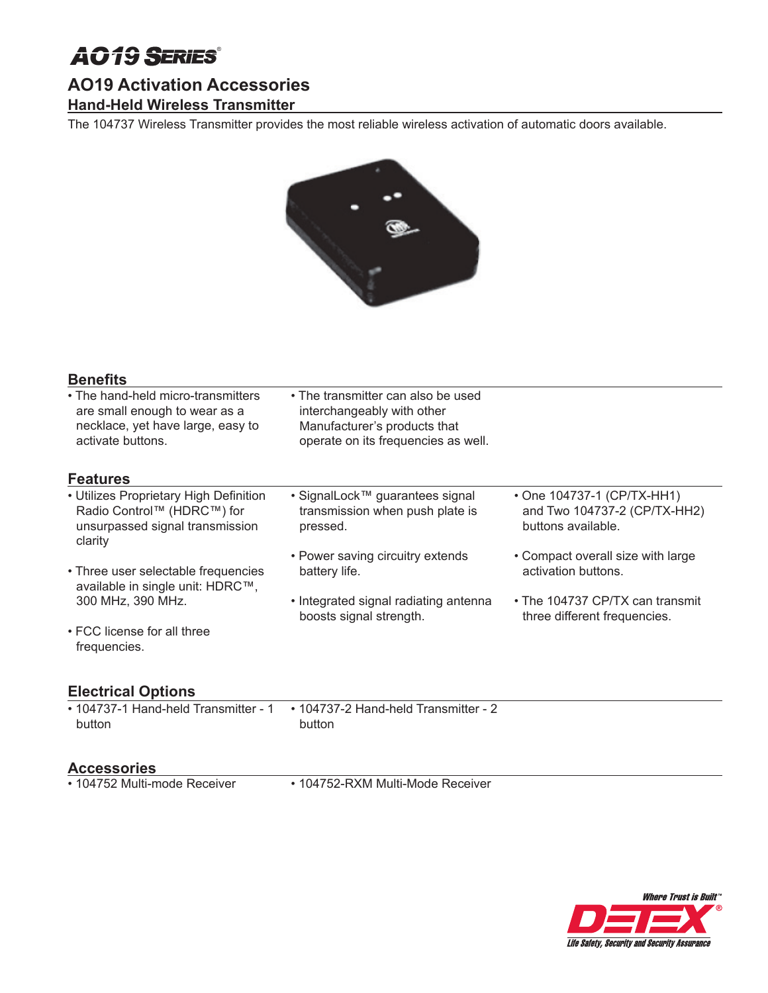# AO19 **SERIES**®

## **AO19 Activation Accessories**

### **Hand-Held Wireless Transmitter**

The 104737 Wireless Transmitter provides the most reliable wireless activation of automatic doors available.



### **Benefits**

| • The hand-held micro-transmitters<br>are small enough to wear as a<br>necklace, yet have large, easy to<br>activate buttons. | • The transmitter can also be used<br>interchangeably with other<br>Manufacturer's products that<br>operate on its frequencies as well. |                                                                                  |
|-------------------------------------------------------------------------------------------------------------------------------|-----------------------------------------------------------------------------------------------------------------------------------------|----------------------------------------------------------------------------------|
| <b>Features</b>                                                                                                               |                                                                                                                                         |                                                                                  |
| • Utilizes Proprietary High Definition<br>Radio Control™ (HDRC™) for<br>unsurpassed signal transmission<br>clarity            | • SignalLock™ guarantees signal<br>transmission when push plate is<br>pressed.                                                          | • One 104737-1 (CP/TX-HH1)<br>and Two 104737-2 (CP/TX-HH2)<br>buttons available. |
| • Three user selectable frequencies<br>available in single unit: HDRC™,                                                       | • Power saving circuitry extends<br>battery life.                                                                                       | • Compact overall size with large<br>activation buttons.                         |
| 300 MHz, 390 MHz.                                                                                                             | • Integrated signal radiating antenna<br>boosts signal strength.                                                                        | • The 104737 CP/TX can transmit<br>three different frequencies.                  |
| • FCC license for all three<br>frequencies.                                                                                   |                                                                                                                                         |                                                                                  |
| <b>Electrical Options</b>                                                                                                     |                                                                                                                                         |                                                                                  |
| • 104737-1 Hand-held Transmitter - 1<br>button                                                                                | • 104737-2 Hand-held Transmitter - 2<br>button                                                                                          |                                                                                  |
|                                                                                                                               |                                                                                                                                         |                                                                                  |

**Accessories**

• 104752-RXM Multi-Mode Receiver